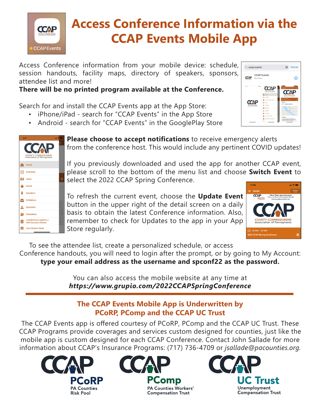

## **Access Conference Information via the CCAP Events Mobile App**

Access Conference information from your mobile device: schedule, session handouts, facility maps, directory of speakers, sponsors, attendee list and more!

## **There will be no printed program available at the Conference.**

Search for and install the CCAP Events app at the App Store:

- iPhone/iPad search for "CCAP Events" in the App Store
- Android search for "CCAP Events" in the GooglePlay Store



|   | 9:31<br>$\mathbf{d}$ and                                     |             |  |
|---|--------------------------------------------------------------|-------------|--|
|   | <b>COUNTY COMMISSIONERS</b><br>Association of Pennsylvania   | dato<br>ent |  |
|   | <b>Detail</b>                                                |             |  |
|   | Schedule                                                     |             |  |
|   | Maps                                                         | ⊕           |  |
| b | Alerts                                                       |             |  |
|   | <b>Speakers</b>                                              |             |  |
|   | <b>Exhibitors</b>                                            |             |  |
|   | <b>Sponsors</b>                                              |             |  |
|   | <b>Attendees</b>                                             |             |  |
|   | <b>Conference Logistics /</b><br><b>WiFi Access / Roster</b> |             |  |
|   | <b>Fact Sheets Table</b>                                     |             |  |

**Please choose to accept notifications** to receive emergency alerts from the conference host. This would include any pertinent COVID updates!

If you previously downloaded and used the app for another CCAP event, please scroll to the bottom of the menu list and choose **Switch Event** to select the 2022 CCAP Spring Conference.

To refresh the current event, choose the **Update Event** button in the upper right of the detail screen on a daily basis to obtain the latest Conference information. Also, remember to check for Updates to the app in your App Store regularly.



To see the attendee list, create a personalized schedule, or access Conference handouts, you will need to login after the prompt, or by going to My Account: **type your email address as the username and spconf22 as the password.** 

> You can also access the mobile website at any time at *https://www.grupio.com/2022CCAPSpringConference*

## **The CCAP Events Mobile App is Underwritten by PCoRP, PComp and the CCAP UC Trust**

The CCAP Events app is offered courtesy of PCoRP, PComp and the CCAP UC Trust. These CCAP Programs provide coverages and services custom designed for counties, just like the mobile app is custom designed for each CCAP Conference. Contact John Sallade for more information about CCAP's Insurance Programs: (717) 736-4709 or *jsallade@pacounties.org.*